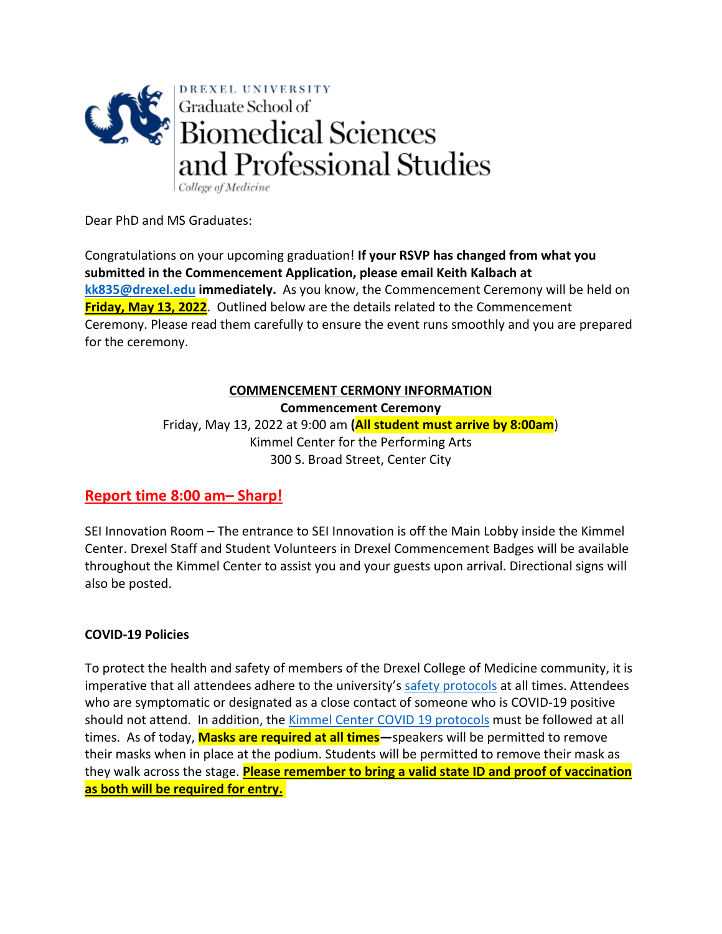

Dear PhD and MS Graduates:

Congratulations on your upcoming graduation! **If your RSVP has changed from what you submitted in the Commencement Application, please email Keith Kalbach at [kk835@drexel.edu](mailto:kk835@drexel.edu) immediately.** As you know, the Commencement Ceremony will be held on **Friday, May 13, 2022**. Outlined below are the details related to the Commencement Ceremony. Please read them carefully to ensure the event runs smoothly and you are prepared for the ceremony.

# **COMMENCEMENT CERMONY INFORMATION**

**Commencement Ceremony**

Friday, May 13, 2022 at 9:00 am **(All student must arrive by 8:00am**) Kimmel Center for the Performing Arts 300 S. Broad Street, Center City

# **Report time 8:00 am– Sharp!**

SEI Innovation Room – The entrance to SEI Innovation is off the Main Lobby inside the Kimmel Center. Drexel Staff and Student Volunteers in Drexel Commencement Badges will be available throughout the Kimmel Center to assist you and your guests upon arrival. Directional signs will also be posted.

# **COVID-19 Policies**

To protect the health and safety of members of the Drexel College of Medicine community, it is imperative that all attendees adhere to the university's [safety protocols](https://drexel.edu/coronavirus/health-safety/overview/) at all times. Attendees who are symptomatic or designated as a close contact of someone who is COVID-19 positive should not attend. In addition, the [Kimmel Center COVID 19 protocols](https://www.kimmelculturalcampus.org/plan-your-visit/important-updates/) must be followed at all times. As of today, **Masks are required at all times—**speakers will be permitted to remove their masks when in place at the podium. Students will be permitted to remove their mask as they walk across the stage. **Please remember to bring a valid state ID and proof of vaccination as both will be required for entry.**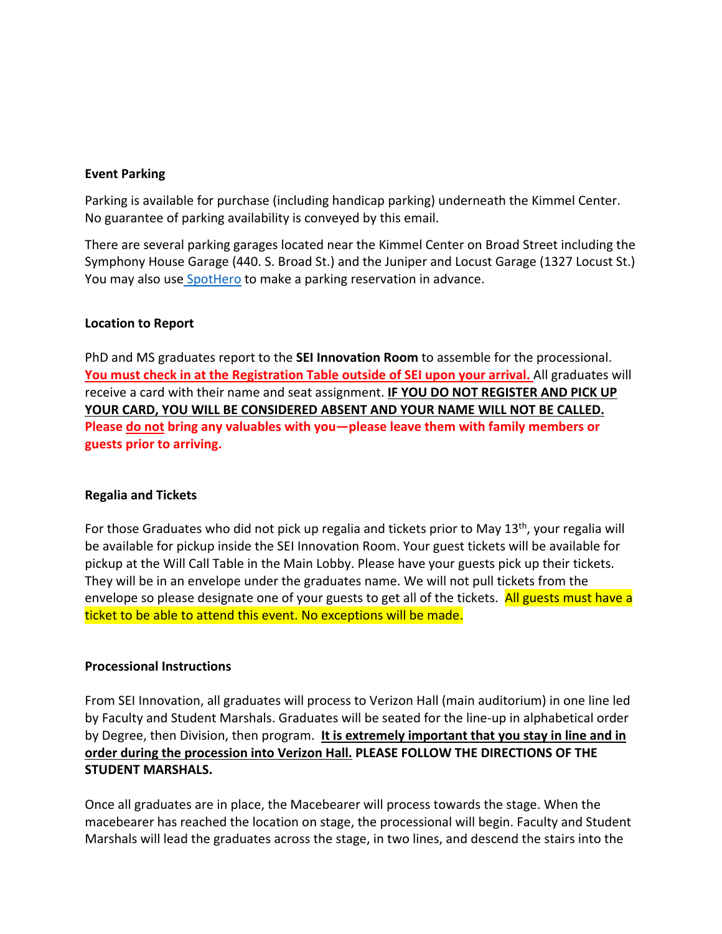### **Event Parking**

Parking is available for purchase (including handicap parking) underneath the Kimmel Center. No guarantee of parking availability is conveyed by this email.

There are several parking garages located near the Kimmel Center on Broad Street including the Symphony House Garage (440. S. Broad St.) and the Juniper and Locust Garage (1327 Locust St.) You may also us[e SpotHero](https://spothero.com/search?kind=destination&id=48476&utm_source=google&utm_medium=cpc&utm_term=keyword_kimmel%20center%20parking::matchtype_e&utm_content=586764336440::adpos_::network_g::device_c::a_campaign_9768890847&ad_grp_id=122308186705&gclid=Cj0KCQjw0umSBhDrARIsAH7FCofzAQIV-D5qv1-Kzent12FSlIcIrKnLsrCVw05BuYYvKXk8PTeVPi4aAr7GEALw_wcB) to make a parking reservation in advance.

### **Location to Report**

PhD and MS graduates report to the **SEI Innovation Room** to assemble for the processional. **You must check in at the Registration Table outside of SEI upon your arrival.** All graduates will receive a card with their name and seat assignment. **IF YOU DO NOT REGISTER AND PICK UP YOUR CARD, YOU WILL BE CONSIDERED ABSENT AND YOUR NAME WILL NOT BE CALLED. Please do not bring any valuables with you—please leave them with family members or guests prior to arriving.** 

### **Regalia and Tickets**

For those Graduates who did not pick up regalia and tickets prior to May 13th, your regalia will be available for pickup inside the SEI Innovation Room. Your guest tickets will be available for pickup at the Will Call Table in the Main Lobby. Please have your guests pick up their tickets. They will be in an envelope under the graduates name. We will not pull tickets from the envelope so please designate one of your guests to get all of the tickets. All guests must have a ticket to be able to attend this event. No exceptions will be made.

#### **Processional Instructions**

From SEI Innovation, all graduates will process to Verizon Hall (main auditorium) in one line led by Faculty and Student Marshals. Graduates will be seated for the line-up in alphabetical order by Degree, then Division, then program. **It is extremely important that you stay in line and in order during the procession into Verizon Hall. PLEASE FOLLOW THE DIRECTIONS OF THE STUDENT MARSHALS.** 

Once all graduates are in place, the Macebearer will process towards the stage. When the macebearer has reached the location on stage, the processional will begin. Faculty and Student Marshals will lead the graduates across the stage, in two lines, and descend the stairs into the